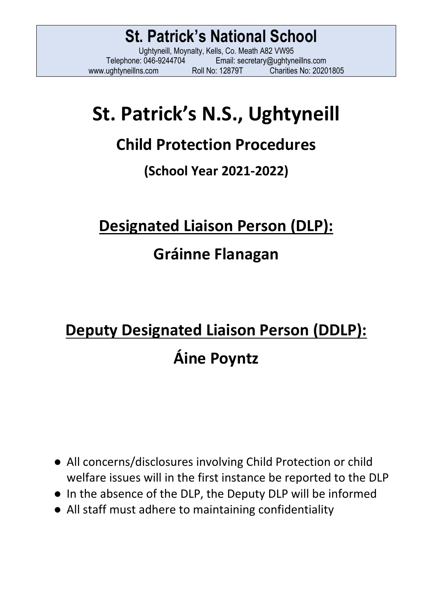# **St. Patrick's N.S., Ughtyneill**

### **Child Protection Procedures**

#### **(School Year 2021-2022)**

### **Designated Liaison Person (DLP):**

### **Gráinne Flanagan**

# **Deputy Designated Liaison Person (DDLP): Áine Poyntz**

- All concerns/disclosures involving Child Protection or child welfare issues will in the first instance be reported to the DLP
- In the absence of the DLP, the Deputy DLP will be informed
- All staff must adhere to maintaining confidentiality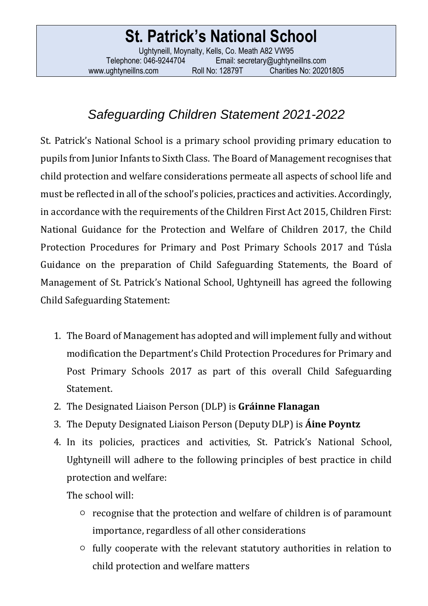#### *Safeguarding Children Statement 2021-2022*

St. Patrick's National School is a primary school providing primary education to pupils from Junior Infants to Sixth Class. The Board of Management recognises that child protection and welfare considerations permeate all aspects of school life and must be reflected in all of the school's policies, practices and activities. Accordingly, in accordance with the requirements of the Children First Act 2015, Children First: National Guidance for the Protection and Welfare of Children 2017, the Child Protection Procedures for Primary and Post Primary Schools 2017 and Túsla Guidance on the preparation of Child Safeguarding Statements, the Board of Management of St. Patrick's National School, Ughtyneill has agreed the following Child Safeguarding Statement:

- 1. The Board of Management has adopted and will implement fully and without modification the Department's Child Protection Procedures for Primary and Post Primary Schools 2017 as part of this overall Child Safeguarding Statement.
- 2. The Designated Liaison Person (DLP) is **Gráinne Flanagan**
- 3. The Deputy Designated Liaison Person (Deputy DLP) is **Áine Poyntz**
- 4. In its policies, practices and activities, St. Patrick's National School, Ughtyneill will adhere to the following principles of best practice in child protection and welfare:

The school will:

- recognise that the protection and welfare of children is of paramount importance, regardless of all other considerations
- fully cooperate with the relevant statutory authorities in relation to child protection and welfare matters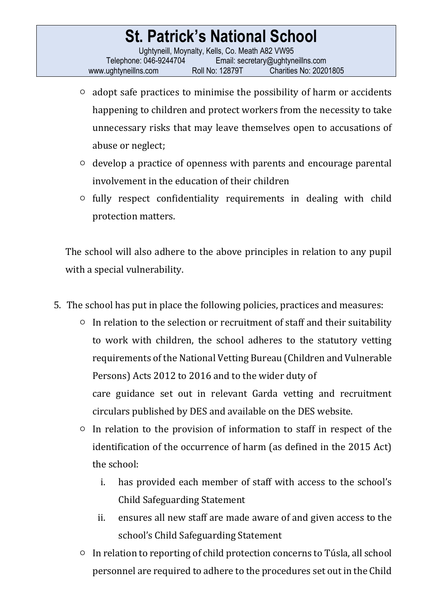## **St. Patrick's National School**

Ughtyneill, Moynalty, Kells, Co. Meath A82 VW95 Telephone: 046-9244704 Email: [secretary@ughtyneillns.com](mailto:secretary@ughtyneillns.com)  [www.ughtyneillns.com](http://www.ughtyneillns.com/) Roll No: 12879T Charities No: 20201805

- adopt safe practices to minimise the possibility of harm or accidents happening to children and protect workers from the necessity to take unnecessary risks that may leave themselves open to accusations of abuse or neglect;
- develop a practice of openness with parents and encourage parental involvement in the education of their children
- fully respect confidentiality requirements in dealing with child protection matters.

The school will also adhere to the above principles in relation to any pupil with a special vulnerability.

- 5. The school has put in place the following policies, practices and measures:
	- In relation to the selection or recruitment of staff and their suitability to work with children, the school adheres to the statutory vetting requirements of the National Vetting Bureau (Children and Vulnerable Persons) Acts 2012 to 2016 and to the wider duty of care guidance set out in relevant Garda vetting and recruitment circulars published by DES and available on the DES website.
	- In relation to the provision of information to staff in respect of the identification of the occurrence of harm (as defined in the 2015 Act) the school:
		- i. has provided each member of staff with access to the school's Child Safeguarding Statement
		- ii. ensures all new staff are made aware of and given access to the school's Child Safeguarding Statement
	- In relation to reporting of child protection concerns to Túsla, all school personnel are required to adhere to the procedures set out in the Child